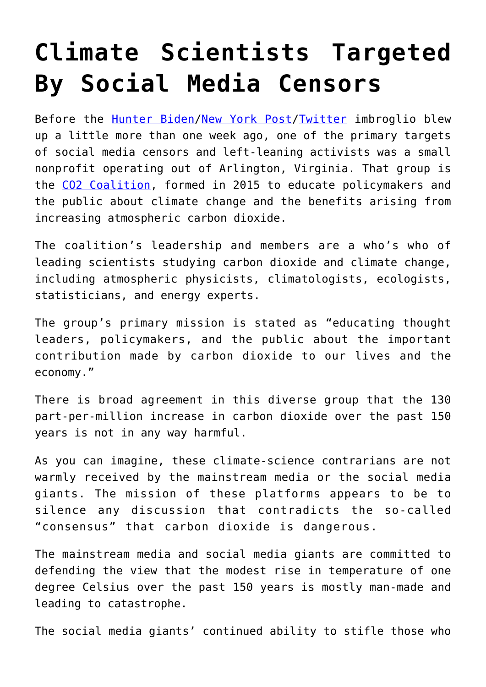## **[Climate Scientists Targeted](https://intellectualtakeout.org/2020/10/climate-scientists-targeted-by-social-media-censors/) [By Social Media Censors](https://intellectualtakeout.org/2020/10/climate-scientists-targeted-by-social-media-censors/)**

Before the [Hunter Biden/](https://www.dailysignal.com/2020/10/14/twitter-facebook-suppress-new-york-post-report-on-hunter-biden/)[New York Post](https://www.dailysignal.com/2020/10/20/social-medias-preemptive-spiking-of-new-york-post-story-shows-bias-against-conservatives-continues/)[/Twitter](https://www.dailysignal.com/2020/10/16/twitters-censorship-of-the-new-york-post-is-un-american/) imbroglio blew up a little more than one week ago, one of the primary targets of social media censors and left-leaning activists was a small nonprofit operating out of Arlington, Virginia. That group is the [CO2 Coalition,](https://co2coalition.org/) formed in 2015 to educate policymakers and the public about climate change and the benefits arising from increasing atmospheric carbon dioxide.

The coalition's leadership and members are a who's who of leading scientists studying carbon dioxide and climate change, including atmospheric physicists, climatologists, ecologists, statisticians, and energy experts.

The group's primary mission is stated as "educating thought leaders, policymakers, and the public about the important contribution made by carbon dioxide to our lives and the economy."

There is broad agreement in this diverse group that the 130 part-per-million increase in carbon dioxide over the past 150 years is not in any way harmful.

As you can imagine, these climate-science contrarians are not warmly received by the mainstream media or the social media giants. The mission of these platforms appears to be to silence any discussion that contradicts the so-called "consensus" that carbon dioxide is dangerous.

The mainstream media and social media giants are committed to defending the view that the modest rise in temperature of one degree Celsius over the past 150 years is mostly man-made and leading to catastrophe.

The social media giants' continued ability to stifle those who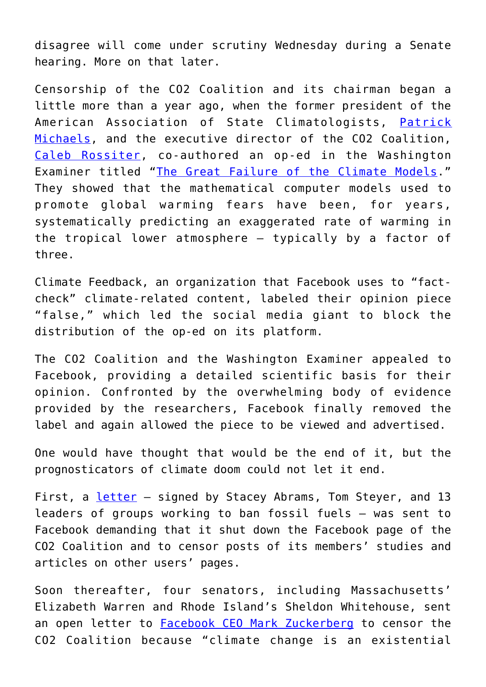disagree will come under scrutiny Wednesday during a Senate hearing. More on that later.

Censorship of the CO2 Coalition and its chairman began a little more than a year ago, when the former president of the American Association of State Climatologists, [Patrick](https://co2coalition.org/members/patrick-michaels-phd/) [Michaels](https://co2coalition.org/members/patrick-michaels-phd/), and the executive director of the CO2 Coalition, [Caleb Rossiter](https://co2coalition.org/members/caleb-rossiter-phd/), co-authored an op-ed in the Washington Examiner titled "[The Great Failure of the Climate Models](https://www.washingtonexaminer.com/opinion/op-eds/the-great-failure-of-the-climate-models)." They showed that the mathematical computer models used to promote global warming fears have been, for years, systematically predicting an exaggerated rate of warming in the tropical lower atmosphere – typically by a factor of three.

Climate Feedback, an organization that Facebook uses to "factcheck" climate-related content, labeled their opinion piece "false," which led the social media giant to block the distribution of the op-ed on its platform.

The CO2 Coalition and the Washington Examiner appealed to Facebook, providing a detailed scientific basis for their opinion. Confronted by the overwhelming body of evidence provided by the researchers, Facebook finally removed the label and again allowed the piece to be viewed and advertised.

One would have thought that would be the end of it, but the prognosticators of climate doom could not let it end.

First, a *[letter](https://www.climatepower2020.org/facebook-letter/)* - signed by Stacey Abrams, Tom Steyer, and 13 leaders of groups working to ban fossil fuels – was sent to Facebook demanding that it shut down the Facebook page of the CO2 Coalition and to censor posts of its members' studies and articles on other users' pages.

Soon thereafter, four senators, including Massachusetts' Elizabeth Warren and Rhode Island's Sheldon Whitehouse, sent an open letter to **[Facebook CEO Mark Zuckerberg](https://www.warren.senate.gov/imo/media/doc/07.15.2020%2520Letter%2520from%2520Sens.%2520Warren,%2520Carper,%2520Whitehouse,%2520&%2520Schatz%2520to%2520Mr.%2520Zuckerberg.pdf)** to censor the CO2 Coalition because "climate change is an existential